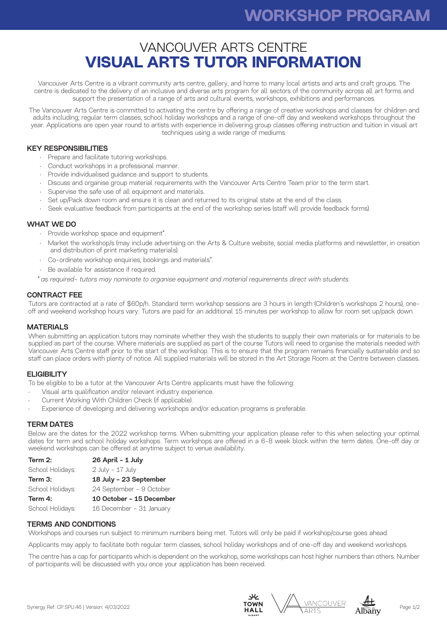# **IN-KIND SUPPORT WORKSHOP PROGRAM**

## VANCOUVER ARTS CENTRE **VISUAL ARTS TUTOR INFORMATION**

Vancouver Arts Centre is a vibrant community arts centre, gallery, and home to many local artists and arts and craft groups. The centre is dedicated to the delivery of an inclusive and diverse arts program for all sectors of the community across all art forms and support the presentation of a range of arts and cultural events, workshops, exhibitions and performances.

The Vancouver Arts Centre is committed to activating the centre by offering a range of creative workshops and classes for children and adults including; regular term classes, school holiday workshops and a range of one-off day and weekend workshops throughout the year. Applications are open year round to artists with experience in delivering group classes offering instruction and tuition in visual art techniques using a wide range of mediums.

#### KEY RESPONSIBILITIES

- Prepare and facilitate tutoring workshops.
- Conduct workshops in a professional manner.
- Provide individualised guidance and support to students.
- Discuss and organise group material requirements with the Vancouver Arts Centre Team prior to the term start.
- Supervise the safe use of all equipment and materials.
- Set up/Pack down room and ensure it is clean and returned to its original state at the end of the class.
- Seek evaluative feedback from participants at the end of the workshop series (staff will provide feedback forms).

#### WHAT WE DO

- Provide workshop space and equipment\*.
- Market the workshop/s (may include advertising on the Arts & Culture website, social media platforms and newsletter, in creation and distribution of print marketing materials).
- Co-ordinate workshop enquiries, bookings and materials\*.
- Be available for assistance if required.
- *\* as required- tutors may nominate to organise equipment and material requirements direct with students.*

#### CONTRACT FEE

Tutors are contracted at a rate of \$60p/h. Standard term workshop sessions are 3 hours in length (Children's workshops 2 hours), oneoff and weekend workshop hours vary. Tutors are paid for an additional 15 minutes per workshop to allow for room set up/pack down.

#### MATERIALS

When submitting an application tutors may nominate whether they wish the students to supply their own materials or for materials to be supplied as part of the course. Where materials are supplied as part of the course Tutors will need to organise the materials needed with Vancouver Arts Centre staff prior to the start of the workshop. This is to ensure that the program remains financially sustainable and so staff can place orders with plenty of notice. All supplied materials will be stored in the Art Storage Room at the Centre between classes.

#### **ELIGIBILITY**

To be eligible to be a tutor at the Vancouver Arts Centre applicants must have the following:

- Visual arts qualification and/or relevant industry experience.
- Current Working With Children Check (if applicable).
- Experience of developing and delivering workshops and/or education programs is preferable.

#### TERM DATES

Below are the dates for the 2022 workshop terms. When submitting your application please refer to this when selecting your optimal dates for term and school holiday workshops. Term workshops are offered in a 6-8 week block within the term dates. One-off day or weekend workshops can be offered at anytime subject to venue availability.

| Term 2:          | 26 April - 1 July        |
|------------------|--------------------------|
| School Holidays: | $2$ July - 17 July       |
| Term 3:          | 18 July - 23 September   |
| School Holidays: | 24 September - 9 October |
| Term 4:          | 10 October - 15 December |
| School Holidays: | 16 December - 31 January |

#### TERMS AND CONDITIONS

Workshops and courses run subject to minimum numbers being met. Tutors will only be paid if workshop/course goes ahead.

Applicants may apply to facilitate both regular term classes, school holiday workshops and of one-off day and weekend workshops.

The centre has a cap for participants which is dependent on the workshop, some workshops can host higher numbers than others. Number of participants will be discussed with you once your application has been received.